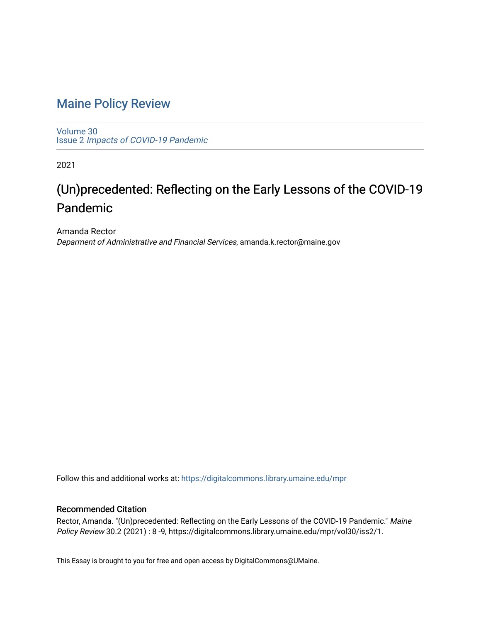## [Maine Policy Review](https://digitalcommons.library.umaine.edu/mpr)

[Volume 30](https://digitalcommons.library.umaine.edu/mpr/vol30) Issue 2 [Impacts of COVID-19 Pandemic](https://digitalcommons.library.umaine.edu/mpr/vol30/iss2)

2021

## (Un)precedented: Reflecting on the Early Lessons of the COVID-19 Pandemic

Amanda Rector Deparment of Administrative and Financial Services, amanda.k.rector@maine.gov

Follow this and additional works at: [https://digitalcommons.library.umaine.edu/mpr](https://digitalcommons.library.umaine.edu/mpr?utm_source=digitalcommons.library.umaine.edu%2Fmpr%2Fvol30%2Fiss2%2F1&utm_medium=PDF&utm_campaign=PDFCoverPages)

### Recommended Citation

Rector, Amanda. "(Un)precedented: Reflecting on the Early Lessons of the COVID-19 Pandemic." Maine Policy Review 30.2 (2021) : 8 -9, https://digitalcommons.library.umaine.edu/mpr/vol30/iss2/1.

This Essay is brought to you for free and open access by DigitalCommons@UMaine.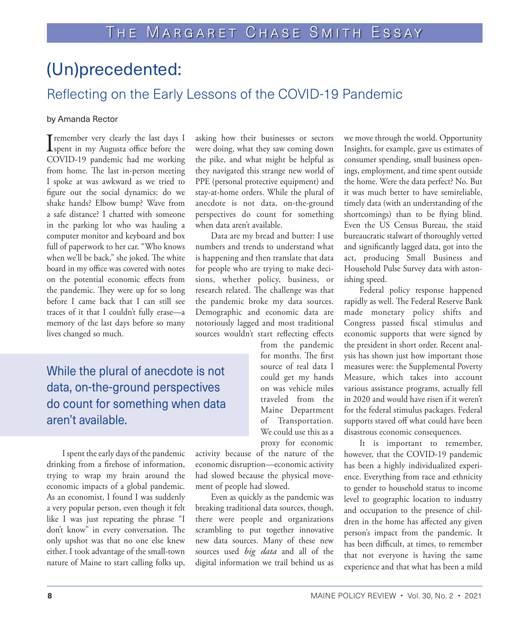# (Un)precedented:

## Reflecting on the Early Lessons of the COVID-19 Pandemic

### by Amanda Rector

**I** remember very clearly the last days I<br>spent in my Augusta office before the COVID-19 pandemic had me working from home. The last in-person meeting I spoke at was awkward as we tried to figure out the social dynamics: do we shake hands? Elbow bump? Wave from a safe distance? I chatted with someone in the parking lot who was hauling a computer monitor and keyboard and box full of paperwork to her car. "Who knows when we'll be back," she joked. The white board in my office was covered with notes on the potential economic effects from the pandemic. They were up for so long before I came back that I can still see traces of it that I couldn't fully erase—a memory of the last days before so many lives changed so much.

asking how their businesses or sectors were doing, what they saw coming down the pike, and what might be helpful as they navigated this strange new world of PPE (personal protective equipment) and stay-at-home orders. While the plural of anecdote is not data, on-the-ground perspectives do count for something when data aren't available.

Data are my bread and butter: I use numbers and trends to understand what is happening and then translate that data for people who are trying to make decisions, whether policy, business, or research related. The challenge was that the pandemic broke my data sources. Demographic and economic data are notoriously lagged and most traditional sources wouldn't start reflecting effects

> from the pandemic for months. The first source of real data I could get my hands on was vehicle miles traveled from the Maine Department of Transportation. We could use this as a proxy for economic

While the plural of anecdote is not data, on-the-ground perspectives do count for something when data aren't available.

I spent the early days of the pandemic drinking from a firehose of information, trying to wrap my brain around the economic impacts of a global pandemic. As an economist, I found I was suddenly a very popular person, even though it felt like I was just repeating the phrase "I don't know" in every conversation. The only upshot was that no one else knew either. I took advantage of the small-town nature of Maine to start calling folks up,

activity because of the nature of the economic disruption—economic activity had slowed because the physical movement of people had slowed.

Even as quickly as the pandemic was breaking traditional data sources, though, there were people and organizations scrambling to put together innovative new data sources. Many of these new sources used *big data* and all of the digital information we trail behind us as we move through the world. Opportunity Insights, for example, gave us estimates of consumer spending, small business openings, employment, and time spent outside the home. Were the data perfect? No. But it was much better to have semireliable, timely data (with an understanding of the shortcomings) than to be flying blind. Even the US Census Bureau, the staid bureaucratic stalwart of thoroughly vetted and significantly lagged data, got into the act, producing Small Business and Household Pulse Survey data with astonishing speed.

Federal policy response happened rapidly as well. The Federal Reserve Bank made monetary policy shifts and Congress passed fiscal stimulus and economic supports that were signed by the president in short order. Recent analysis has shown just how important those measures were: the Supplemental Poverty Measure, which takes into account various assistance programs, actually fell in 2020 and would have risen if it weren't for the federal stimulus packages. Federal supports staved off what could have been disastrous economic consequences.

It is important to remember, however, that the COVID-19 pandemic has been a highly individualized experience. Everything from race and ethnicity to gender to household status to income level to geographic location to industry and occupation to the presence of children in the home has affected any given person's impact from the pandemic. It has been difficult, at times, to remember that not everyone is having the same experience and that what has been a mild